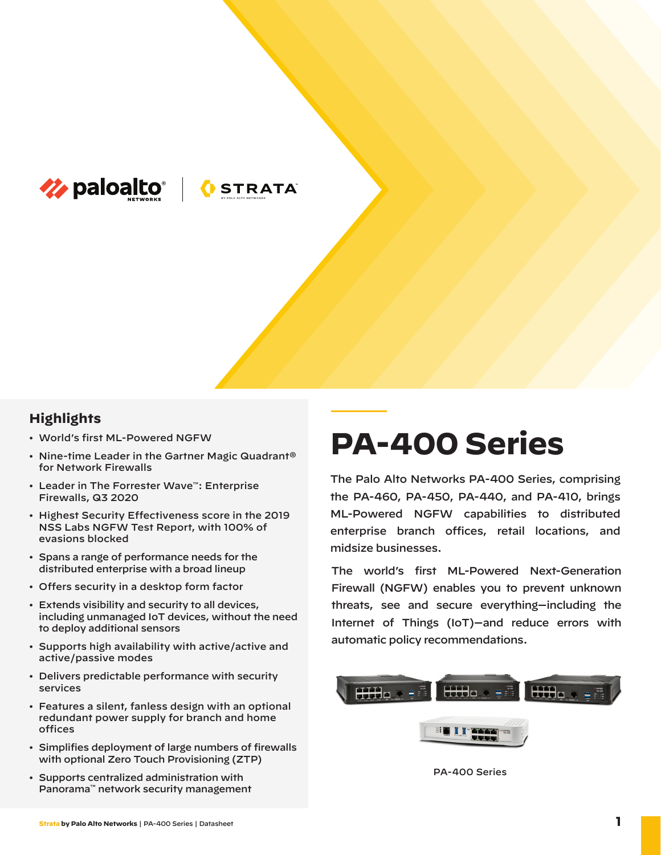

**OSTRATA** 

## **Highlights**

- World's first ML-Powered NGFW
- Nine-time Leader in the Gartner Magic Quadrant® for Network Firewalls
- Leader in The Forrester Wave™: Enterprise Firewalls, Q3 2020
- Highest Security Effectiveness score in the 2019 NSS Labs NGFW Test Report, with 100% of evasions blocked
- Spans a range of performance needs for the distributed enterprise with a broad lineup
- Offers security in a desktop form factor
- Extends visibility and security to all devices, including unmanaged IoT devices, without the need to deploy additional sensors
- Supports high availability with active/active and active/passive modes
- Delivers predictable performance with security services
- Features a silent, fanless design with an optional redundant power supply for branch and home offices
- Simplifies deployment of large numbers of firewalls with optional Zero Touch Provisioning (ZTP)
- Supports centralized administration with Panorama™ network security management

# **PA-400 Series**

The Palo Alto Networks PA-400 Series, comprising the PA-460, PA-450, PA-440, and PA-410, brings ML-Powered NGFW capabilities to distributed enterprise branch offices, retail locations, and midsize businesses.

The world's first ML-Powered Next-Generation Firewall (NGFW) enables you to prevent unknown threats, see and secure everything—including the Internet of Things (IoT)—and reduce errors with automatic policy recommendations.



PA-400 Series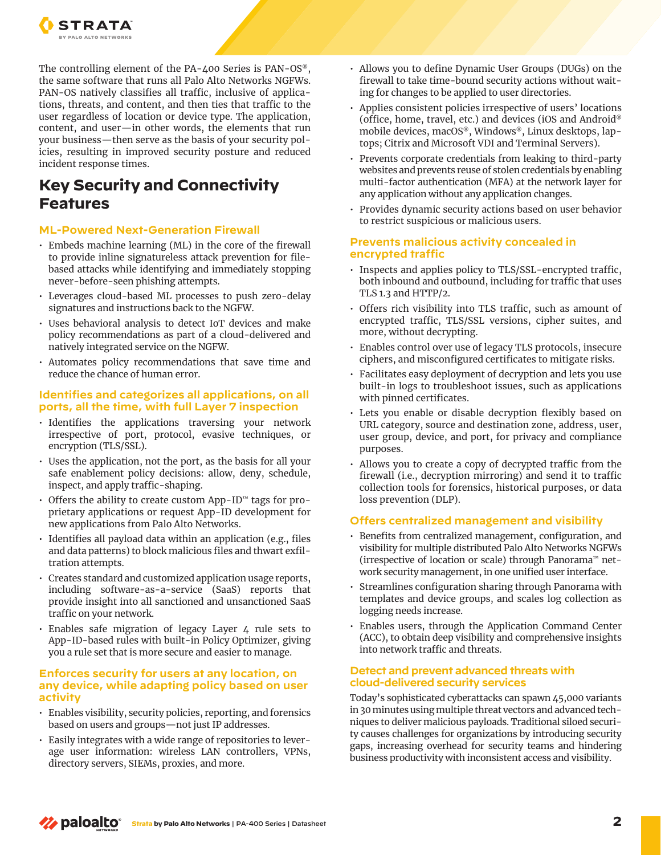

The controlling element of the PA-400 Series is PAN-OS®, the same software that runs all Palo Alto Networks NGFWs. PAN-OS natively classifies all traffic, inclusive of applications, threats, and content, and then ties that traffic to the user regardless of location or device type. The application, content, and user—in other words, the elements that run your business—then serve as the basis of your security policies, resulting in improved security posture and reduced incident response times.

# **Key Security and Connectivity Features**

#### **ML-Powered Next-Generation Firewall**

- Embeds machine learning (ML) in the core of the firewall to provide inline signatureless attack prevention for filebased attacks while identifying and immediately stopping never-before-seen phishing attempts.
- Leverages cloud-based ML processes to push zero-delay signatures and instructions back to the NGFW.
- Uses behavioral analysis to detect IoT devices and make policy recommendations as part of a cloud-delivered and natively integrated service on the NGFW.
- Automates policy recommendations that save time and reduce the chance of human error.

#### **Identifies and categorizes all applications, on all ports, all the time, with full Layer 7 inspection**

- Identifies the applications traversing your network irrespective of port, protocol, evasive techniques, or encryption (TLS/SSL).
- Uses the application, not the port, as the basis for all your safe enablement policy decisions: allow, deny, schedule, inspect, and apply traffic-shaping.
- Offers the ability to create custom App-ID™ tags for proprietary applications or request App-ID development for new applications from Palo Alto Networks.
- Identifies all payload data within an application (e.g., files and data patterns) to block malicious files and thwart exfiltration attempts.
- Creates standard and customized application usage reports, including software-as-a-service (SaaS) reports that provide insight into all sanctioned and unsanctioned SaaS traffic on your network.
- Enables safe migration of legacy Layer 4 rule sets to App-ID-based rules with built-in Policy Optimizer, giving you a rule set that is more secure and easier to manage.

#### **Enforces security for users at any location, on any device, while adapting policy based on user activity**

- Enables visibility, security policies, reporting, and forensics based on users and groups—not just IP addresses.
- Easily integrates with a wide range of repositories to leverage user information: wireless LAN controllers, VPNs, directory servers, SIEMs, proxies, and more.
- Allows you to define Dynamic User Groups (DUGs) on the firewall to take time-bound security actions without waiting for changes to be applied to user directories.
- Applies consistent policies irrespective of users' locations (office, home, travel, etc.) and devices (iOS and Android® mobile devices, macOS®, Windows®, Linux desktops, laptops; Citrix and Microsoft VDI and Terminal Servers).
- Prevents corporate credentials from leaking to third-party websites and prevents reuse of stolen credentials by enabling multi-factor authentication (MFA) at the network layer for any application without any application changes.
- Provides dynamic security actions based on user behavior to restrict suspicious or malicious users.

#### **Prevents malicious activity concealed in encrypted traffic**

- Inspects and applies policy to TLS/SSL-encrypted traffic, both inbound and outbound, including for traffic that uses TLS 1.3 and HTTP/2.
- Offers rich visibility into TLS traffic, such as amount of encrypted traffic, TLS/SSL versions, cipher suites, and more, without decrypting.
- Enables control over use of legacy TLS protocols, insecure ciphers, and misconfigured certificates to mitigate risks.
- Facilitates easy deployment of decryption and lets you use built-in logs to troubleshoot issues, such as applications with pinned certificates.
- Lets you enable or disable decryption flexibly based on URL category, source and destination zone, address, user, user group, device, and port, for privacy and compliance purposes.
- Allows you to create a copy of decrypted traffic from the firewall (i.e., decryption mirroring) and send it to traffic collection tools for forensics, historical purposes, or data loss prevention (DLP).

## **Offers centralized management and visibility**

- Benefits from centralized management, configuration, and visibility for multiple distributed Palo Alto Networks NGFWs (irrespective of location or scale) through Panorama™ network security management, in one unified user interface.
- Streamlines configuration sharing through Panorama with templates and device groups, and scales log collection as logging needs increase.
- Enables users, through the Application Command Center (ACC), to obtain deep visibility and comprehensive insights into network traffic and threats.

## **Detect and prevent advanced threats with cloud-delivered security services**

Today's sophisticated cyberattacks can spawn 45,000 variants in 30 minutes using multiple threat vectors and advanced techniques to deliver malicious payloads. Traditional siloed security causes challenges for organizations by introducing security gaps, increasing overhead for security teams and hindering business productivity with inconsistent access and visibility.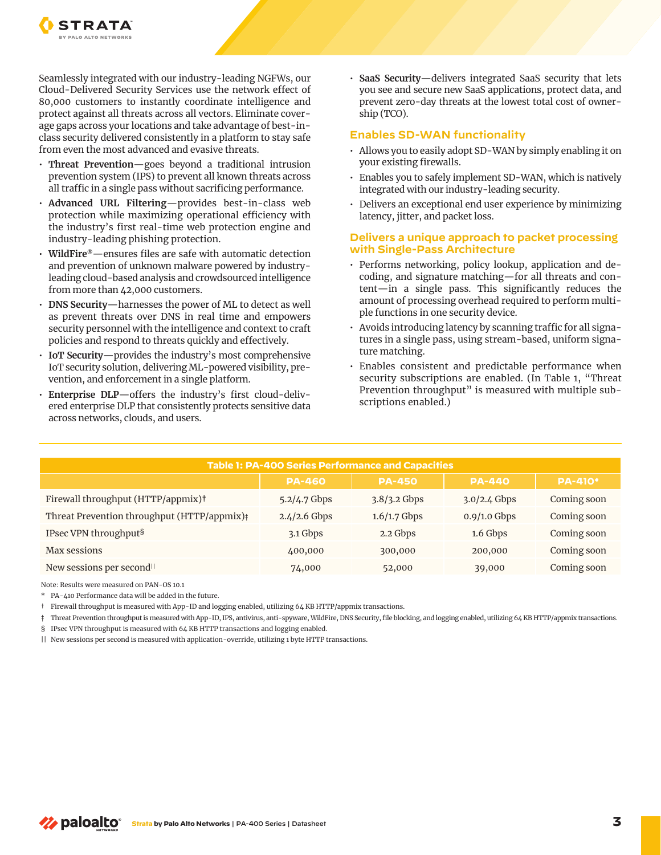

Seamlessly integrated with our industry-leading NGFWs, our Cloud-Delivered Security Services use the network effect of 80,000 customers to instantly coordinate intelligence and protect against all threats across all vectors. Eliminate coverage gaps across your locations and take advantage of best-inclass security delivered consistently in a platform to stay safe from even the most advanced and evasive threats.

- **Threat Prevention**—goes beyond a traditional intrusion prevention system (IPS) to prevent all known threats across all traffic in a single pass without sacrificing performance.
- **Advanced URL Filtering**—provides best-in-class web protection while maximizing operational efficiency with the industry's first real-time web protection engine and industry-leading phishing protection.
- **WildFire®**—ensures files are safe with automatic detection and prevention of unknown malware powered by industryleading cloud-based analysis and crowdsourced intelligence from more than 42,000 customers.
- **DNS Security**—harnesses the power of ML to detect as well as prevent threats over DNS in real time and empowers security personnel with the intelligence and context to craft policies and respond to threats quickly and effectively.
- **IoT Security**—provides the industry's most comprehensive IoT security solution, delivering ML-powered visibility, prevention, and enforcement in a single platform.
- **Enterprise DLP**—offers the industry's first cloud-delivered enterprise DLP that consistently protects sensitive data across networks, clouds, and users.

• **SaaS Security**—delivers integrated SaaS security that lets you see and secure new SaaS applications, protect data, and prevent zero-day threats at the lowest total cost of ownership (TCO).

#### **Enables SD-WAN functionality**

- Allows you to easily adopt SD-WAN by simply enabling it on your existing firewalls.
- Enables you to safely implement SD-WAN, which is natively integrated with our industry-leading security.
- Delivers an exceptional end user experience by minimizing latency, jitter, and packet loss.

#### **Delivers a unique approach to packet processing with Single-Pass Architecture**

- Performs networking, policy lookup, application and decoding, and signature matching—for all threats and content—in a single pass. This significantly reduces the amount of processing overhead required to perform multiple functions in one security device.
- Avoids introducing latency by scanning traffic for all signatures in a single pass, using stream-based, uniform signature matching.
- Enables consistent and predictable performance when security subscriptions are enabled. (In Table 1, "Threat Prevention throughput" is measured with multiple subscriptions enabled.)

| Table 1: PA-400 Series Performance and Capacities       |                |                |                |                |
|---------------------------------------------------------|----------------|----------------|----------------|----------------|
|                                                         | <b>PA-460</b>  | <b>PA-450</b>  | <b>PA-440</b>  | <b>PA-410*</b> |
| Firewall throughput (HTTP/appmix) <sup>†</sup>          | 5.2/4.7 Gbps   | $3.8/3.2$ Gbps | $3.0/2.4$ Gbps | Coming soon    |
| Threat Prevention throughput (HTTP/appmix) <sup>†</sup> | $2.4/2.6$ Gbps | $1.6/1.7$ Gbps | $0.9/1.0$ Gbps | Coming soon    |
| IPsec VPN throughput <sup>§</sup>                       | 3.1 Gbps       | 2.2 Gbps       | 1.6 Gbps       | Coming soon    |
| Max sessions                                            | 400,000        | 300,000        | 200,000        | Coming soon    |
| New sessions per second <sup>II</sup>                   | 74,000         | 52,000         | 39,000         | Coming soon    |

Note: Results were measured on PAN-OS 10.1

\* PA-410 Performance data will be added in the future.

† Firewall throughput is measured with App-ID and logging enabled, utilizing 64 KB HTTP/appmix transactions.

‡ Threat Prevention throughput is measured with App-ID, IPS, antivirus, anti-spyware, WildFire, DNS Security, file blocking, and logging enabled, utilizing 64 KB HTTP/appmix transactions. § IPsec VPN throughput is measured with 64 KB HTTP transactions and logging enabled.

|| New sessions per second is measured with application-override, utilizing 1 byte HTTP transactions.